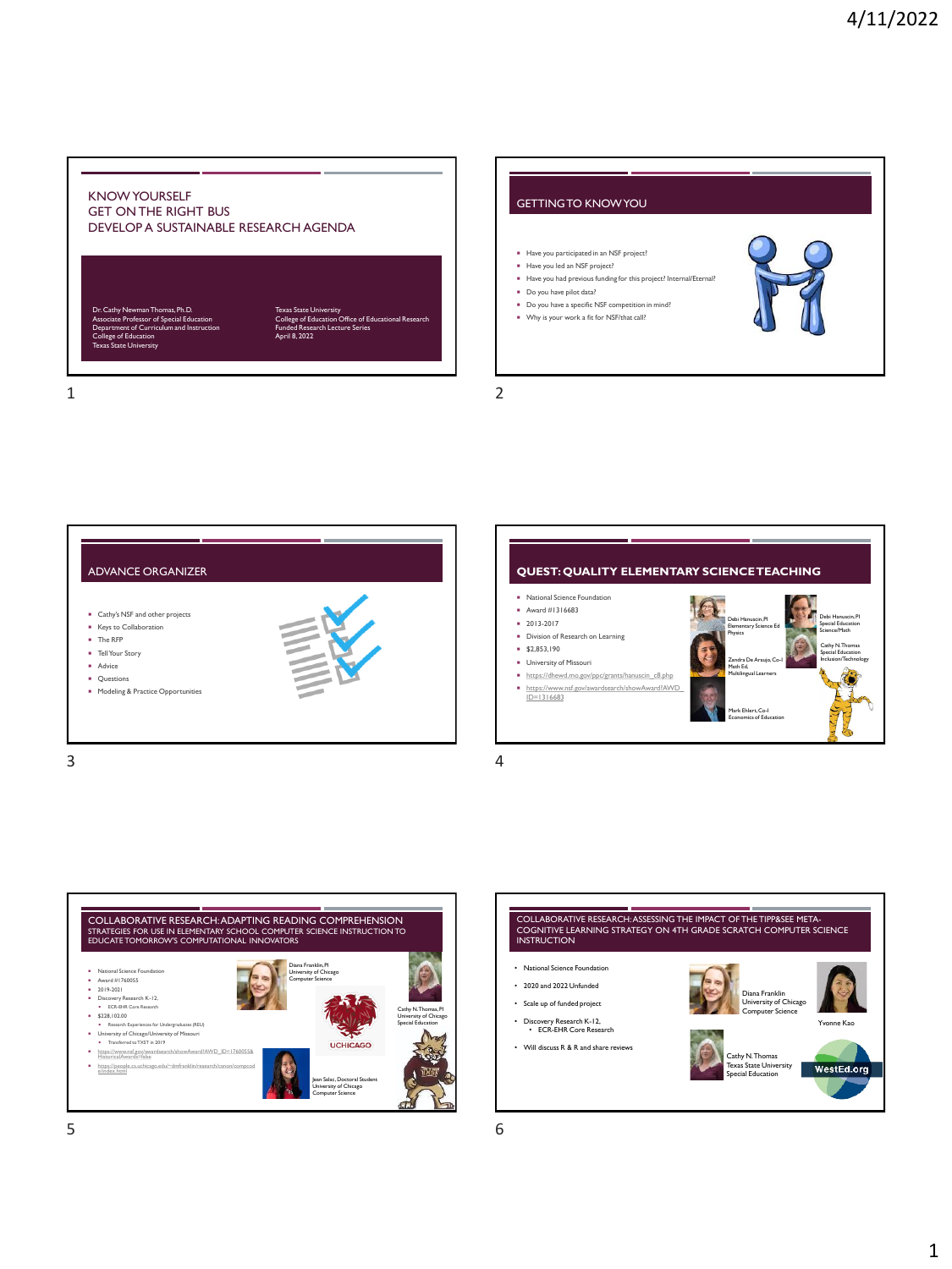





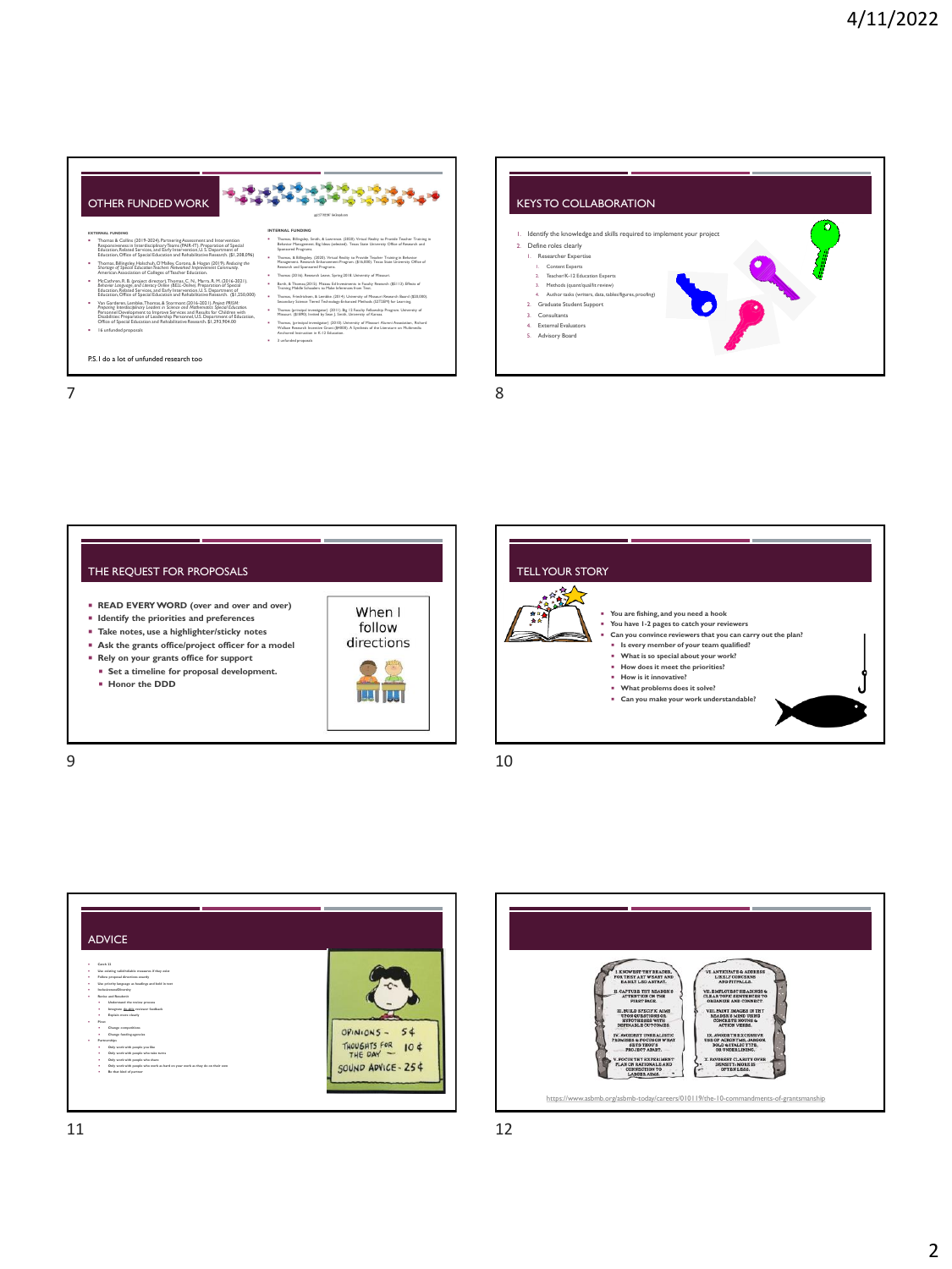